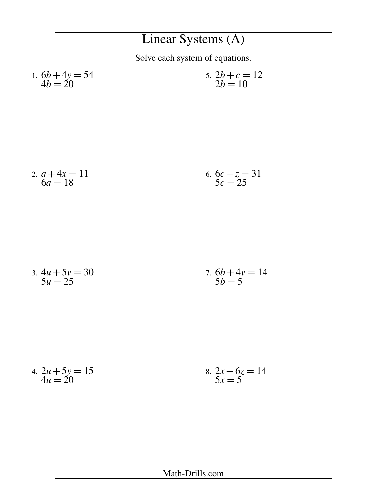## Linear Systems (A)

Solve each system of equations.

1. 
$$
6b + 4y = 54
$$
  
\n $4b = 20$   
\n  
\n5.  $2b + c = 12$   
\n $2b = 10$ 

2. 
$$
a+4x = 11
$$
  
\n $6a = 18$   
\n6.  $6c + z = 31$   
\n $5c = 25$ 

3. 
$$
4u + 5v = 30
$$
  
\n $5u = 25$   
\n7.  $6b + 4v = 14$   
\n $5b = 5$ 

4. 
$$
2u + 5y = 15
$$
  
\n $4u = 20$   
\n8.  $2x + 6z = 14$   
\n $5x = 5$ 

## Math-Drills.com